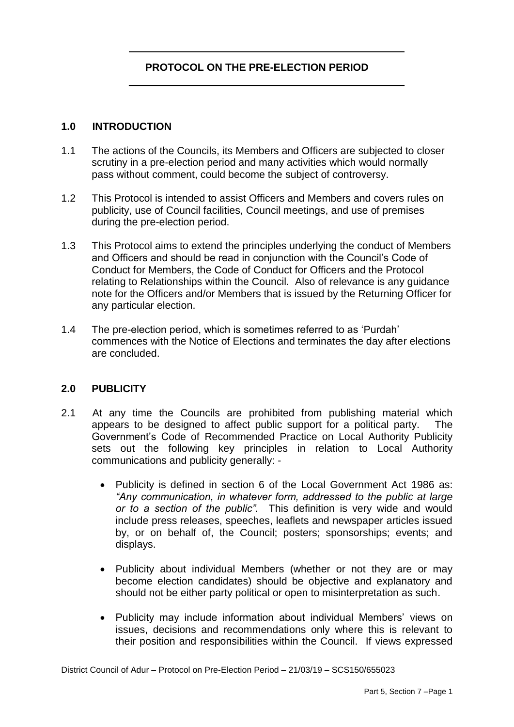## **PROTOCOL ON THE PRE-ELECTION PERIOD**

#### **1.0 INTRODUCTION**

- 1.1 The actions of the Councils, its Members and Officers are subjected to closer scrutiny in a pre-election period and many activities which would normally pass without comment, could become the subject of controversy.
- 1.2 This Protocol is intended to assist Officers and Members and covers rules on publicity, use of Council facilities, Council meetings, and use of premises during the pre-election period.
- 1.3 This Protocol aims to extend the principles underlying the conduct of Members and Officers and should be read in conjunction with the Council's Code of Conduct for Members, the Code of Conduct for Officers and the Protocol relating to Relationships within the Council. Also of relevance is any guidance note for the Officers and/or Members that is issued by the Returning Officer for any particular election.
- 1.4 The pre-election period, which is sometimes referred to as 'Purdah' commences with the Notice of Elections and terminates the day after elections are concluded.

#### **2.0 PUBLICITY**

- 2.1 At any time the Councils are prohibited from publishing material which appears to be designed to affect public support for a political party. The Government's Code of Recommended Practice on Local Authority Publicity sets out the following key principles in relation to Local Authority communications and publicity generally: -
	- Publicity is defined in section 6 of the Local Government Act 1986 as: *"Any communication, in whatever form, addressed to the public at large or to a section of the public".* This definition is very wide and would include press releases, speeches, leaflets and newspaper articles issued by, or on behalf of, the Council; posters; sponsorships; events; and displays.
	- Publicity about individual Members (whether or not they are or may become election candidates) should be objective and explanatory and should not be either party political or open to misinterpretation as such.
	- Publicity may include information about individual Members' views on issues, decisions and recommendations only where this is relevant to their position and responsibilities within the Council. If views expressed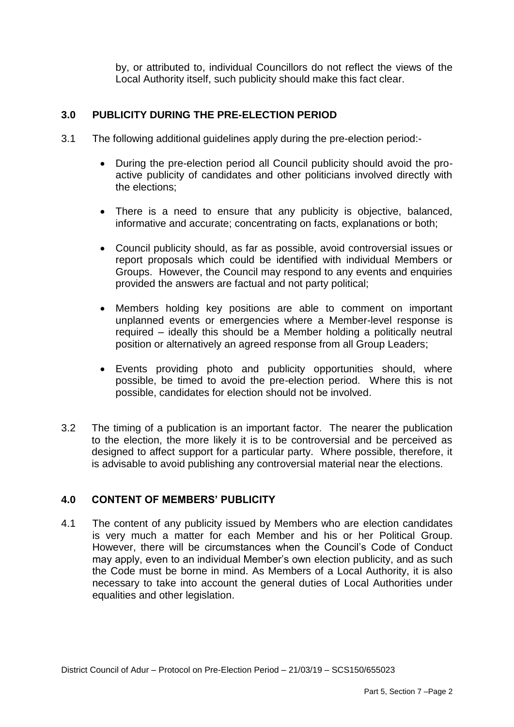by, or attributed to, individual Councillors do not reflect the views of the Local Authority itself, such publicity should make this fact clear.

## **3.0 PUBLICITY DURING THE PRE-ELECTION PERIOD**

- 3.1 The following additional guidelines apply during the pre-election period:-
	- During the pre-election period all Council publicity should avoid the proactive publicity of candidates and other politicians involved directly with the elections;
	- There is a need to ensure that any publicity is objective, balanced, informative and accurate; concentrating on facts, explanations or both;
	- Council publicity should, as far as possible, avoid controversial issues or report proposals which could be identified with individual Members or Groups. However, the Council may respond to any events and enquiries provided the answers are factual and not party political;
	- Members holding key positions are able to comment on important unplanned events or emergencies where a Member-level response is required – ideally this should be a Member holding a politically neutral position or alternatively an agreed response from all Group Leaders;
	- Events providing photo and publicity opportunities should, where possible, be timed to avoid the pre-election period. Where this is not possible, candidates for election should not be involved.
- 3.2 The timing of a publication is an important factor. The nearer the publication to the election, the more likely it is to be controversial and be perceived as designed to affect support for a particular party. Where possible, therefore, it is advisable to avoid publishing any controversial material near the elections.

#### **4.0 CONTENT OF MEMBERS' PUBLICITY**

4.1 The content of any publicity issued by Members who are election candidates is very much a matter for each Member and his or her Political Group. However, there will be circumstances when the Council's Code of Conduct may apply, even to an individual Member's own election publicity, and as such the Code must be borne in mind. As Members of a Local Authority, it is also necessary to take into account the general duties of Local Authorities under equalities and other legislation.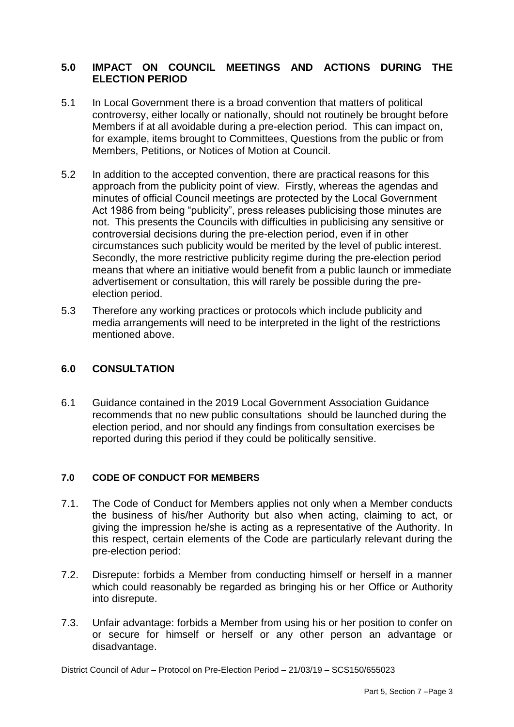## **5.0 IMPACT ON COUNCIL MEETINGS AND ACTIONS DURING THE ELECTION PERIOD**

- 5.1 In Local Government there is a broad convention that matters of political controversy, either locally or nationally, should not routinely be brought before Members if at all avoidable during a pre-election period. This can impact on, for example, items brought to Committees, Questions from the public or from Members, Petitions, or Notices of Motion at Council.
- 5.2 In addition to the accepted convention, there are practical reasons for this approach from the publicity point of view. Firstly, whereas the agendas and minutes of official Council meetings are protected by the Local Government Act 1986 from being "publicity", press releases publicising those minutes are not. This presents the Councils with difficulties in publicising any sensitive or controversial decisions during the pre-election period, even if in other circumstances such publicity would be merited by the level of public interest. Secondly, the more restrictive publicity regime during the pre-election period means that where an initiative would benefit from a public launch or immediate advertisement or consultation, this will rarely be possible during the preelection period.
- 5.3 Therefore any working practices or protocols which include publicity and media arrangements will need to be interpreted in the light of the restrictions mentioned above.

#### **6.0 CONSULTATION**

6.1 Guidance contained in the 2019 Local Government Association Guidance recommends that no new public consultations should be launched during the election period, and nor should any findings from consultation exercises be reported during this period if they could be politically sensitive.

#### **7.0 CODE OF CONDUCT FOR MEMBERS**

- 7.1. The Code of Conduct for Members applies not only when a Member conducts the business of his/her Authority but also when acting, claiming to act, or giving the impression he/she is acting as a representative of the Authority. In this respect, certain elements of the Code are particularly relevant during the pre-election period:
- 7.2. Disrepute: forbids a Member from conducting himself or herself in a manner which could reasonably be regarded as bringing his or her Office or Authority into disrepute.
- 7.3. Unfair advantage: forbids a Member from using his or her position to confer on or secure for himself or herself or any other person an advantage or disadvantage.

District Council of Adur – Protocol on Pre-Election Period – 21/03/19 – SCS150/655023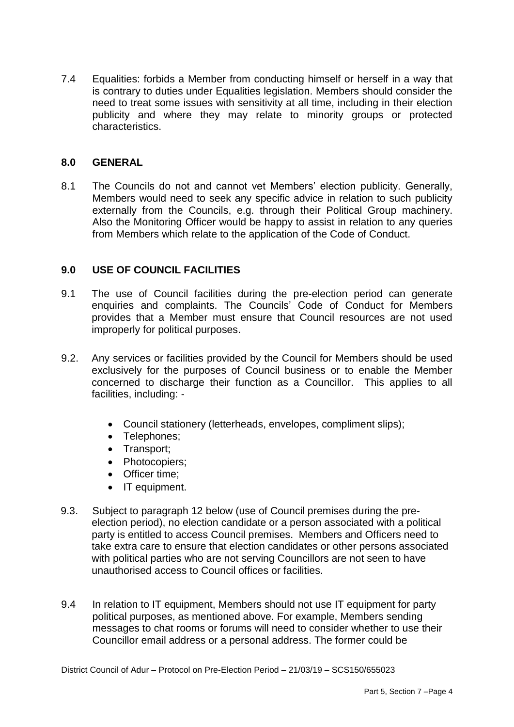7.4 Equalities: forbids a Member from conducting himself or herself in a way that is contrary to duties under Equalities legislation. Members should consider the need to treat some issues with sensitivity at all time, including in their election publicity and where they may relate to minority groups or protected characteristics.

## **8.0 GENERAL**

8.1 The Councils do not and cannot vet Members' election publicity. Generally, Members would need to seek any specific advice in relation to such publicity externally from the Councils, e.g. through their Political Group machinery. Also the Monitoring Officer would be happy to assist in relation to any queries from Members which relate to the application of the Code of Conduct.

## **9.0 USE OF COUNCIL FACILITIES**

- 9.1 The use of Council facilities during the pre-election period can generate enquiries and complaints. The Councils' Code of Conduct for Members provides that a Member must ensure that Council resources are not used improperly for political purposes.
- 9.2. Any services or facilities provided by the Council for Members should be used exclusively for the purposes of Council business or to enable the Member concerned to discharge their function as a Councillor. This applies to all facilities, including: -
	- Council stationery (letterheads, envelopes, compliment slips);
	- Telephones;
	- Transport;
	- Photocopiers;
	- Officer time;
	- IT equipment.
- 9.3. Subject to paragraph 12 below (use of Council premises during the preelection period), no election candidate or a person associated with a political party is entitled to access Council premises. Members and Officers need to take extra care to ensure that election candidates or other persons associated with political parties who are not serving Councillors are not seen to have unauthorised access to Council offices or facilities.
- 9.4 In relation to IT equipment, Members should not use IT equipment for party political purposes, as mentioned above. For example, Members sending messages to chat rooms or forums will need to consider whether to use their Councillor email address or a personal address. The former could be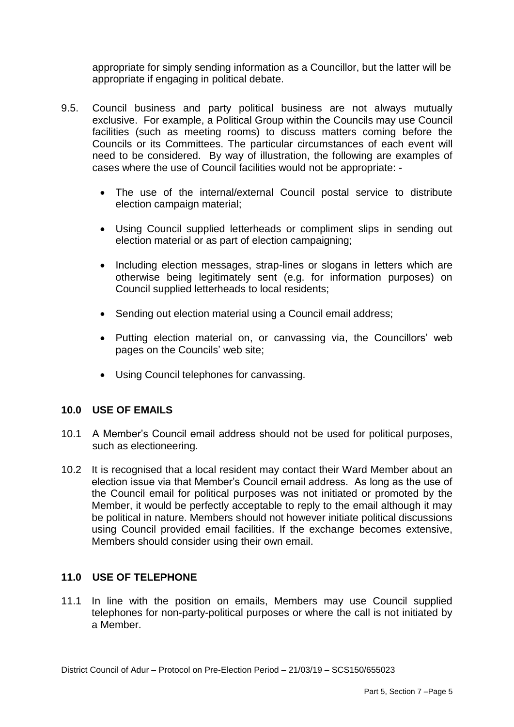appropriate for simply sending information as a Councillor, but the latter will be appropriate if engaging in political debate.

- 9.5. Council business and party political business are not always mutually exclusive. For example, a Political Group within the Councils may use Council facilities (such as meeting rooms) to discuss matters coming before the Councils or its Committees. The particular circumstances of each event will need to be considered. By way of illustration, the following are examples of cases where the use of Council facilities would not be appropriate: -
	- The use of the internal/external Council postal service to distribute election campaign material;
	- Using Council supplied letterheads or compliment slips in sending out election material or as part of election campaigning;
	- Including election messages, strap-lines or slogans in letters which are otherwise being legitimately sent (e.g. for information purposes) on Council supplied letterheads to local residents;
	- Sending out election material using a Council email address;
	- Putting election material on, or canvassing via, the Councillors' web pages on the Councils' web site;
	- Using Council telephones for canvassing.

#### **10.0 USE OF EMAILS**

- 10.1 A Member's Council email address should not be used for political purposes, such as electioneering.
- 10.2 It is recognised that a local resident may contact their Ward Member about an election issue via that Member's Council email address. As long as the use of the Council email for political purposes was not initiated or promoted by the Member, it would be perfectly acceptable to reply to the email although it may be political in nature. Members should not however initiate political discussions using Council provided email facilities. If the exchange becomes extensive, Members should consider using their own email.

#### **11.0 USE OF TELEPHONE**

11.1 In line with the position on emails, Members may use Council supplied telephones for non-party-political purposes or where the call is not initiated by a Member.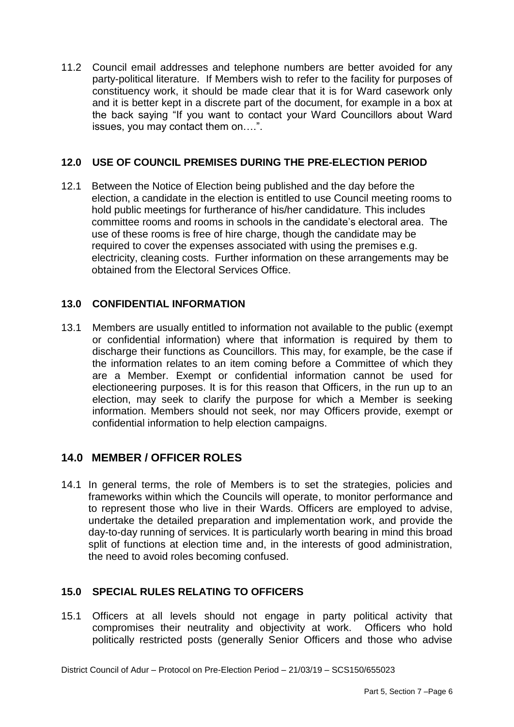11.2 Council email addresses and telephone numbers are better avoided for any party-political literature. If Members wish to refer to the facility for purposes of constituency work, it should be made clear that it is for Ward casework only and it is better kept in a discrete part of the document, for example in a box at the back saying "If you want to contact your Ward Councillors about Ward issues, you may contact them on….".

## **12.0 USE OF COUNCIL PREMISES DURING THE PRE-ELECTION PERIOD**

12.1 Between the Notice of Election being published and the day before the election, a candidate in the election is entitled to use Council meeting rooms to hold public meetings for furtherance of his/her candidature*.* This includes committee rooms and rooms in schools in the candidate's electoral area. The use of these rooms is free of hire charge, though the candidate may be required to cover the expenses associated with using the premises e.g. electricity, cleaning costs. Further information on these arrangements may be obtained from the Electoral Services Office.

## **13.0 CONFIDENTIAL INFORMATION**

13.1 Members are usually entitled to information not available to the public (exempt or confidential information) where that information is required by them to discharge their functions as Councillors. This may, for example, be the case if the information relates to an item coming before a Committee of which they are a Member. Exempt or confidential information cannot be used for electioneering purposes. It is for this reason that Officers, in the run up to an election, may seek to clarify the purpose for which a Member is seeking information. Members should not seek, nor may Officers provide, exempt or confidential information to help election campaigns.

# **14.0 MEMBER / OFFICER ROLES**

14.1 In general terms, the role of Members is to set the strategies, policies and frameworks within which the Councils will operate, to monitor performance and to represent those who live in their Wards. Officers are employed to advise, undertake the detailed preparation and implementation work, and provide the day-to-day running of services. It is particularly worth bearing in mind this broad split of functions at election time and, in the interests of good administration, the need to avoid roles becoming confused.

## **15.0 SPECIAL RULES RELATING TO OFFICERS**

15.1 Officers at all levels should not engage in party political activity that compromises their neutrality and objectivity at work. Officers who hold politically restricted posts (generally Senior Officers and those who advise

District Council of Adur – Protocol on Pre-Election Period – 21/03/19 – SCS150/655023